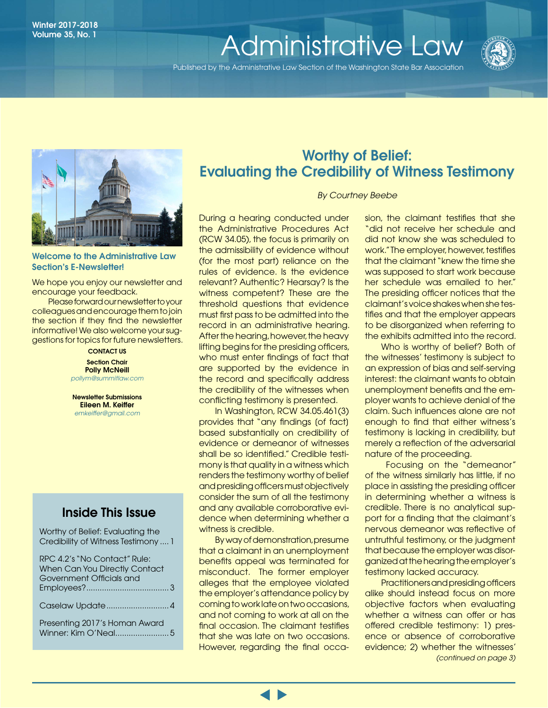# Volume 35, No. 1

Published by the Administrative Law Section of the Washington State Bar Association



#### Welcome to the Administrative Law Section's E-Newsletter!

We hope you enjoy our newsletter and encourage your feedback.

Please forward our newsletter to your colleagues and encourage them to join the section if they find the newsletter informative! We also welcome your suggestions for topics for future newsletters.

> CONTACT US **Section Chair** Polly McNeill *[pollym@summitlaw.com](mailto:pollym@summitlaw.com)*

Newsletter Submissions Eileen M. Keiffer *emkeiffer@gmail.com*

## Inside This Issue

Worthy of Belief: Evaluating the Credibility of Witness Testimony .... 1

## Worthy of Belief: Evaluating the Credibility of Witness Testimony

*By Courtney Beebe*

During a hearing conducted under the Administrative Procedures Act (RCW 34.05), the focus is primarily on the admissibility of evidence without (for the most part) reliance on the rules of evidence. Is the evidence relevant? Authentic? Hearsay? Is the witness competent? These are the threshold questions that evidence must first pass to be admitted into the record in an administrative hearing. After the hearing, however, the heavy lifting begins for the presiding officers, who must enter findings of fact that are supported by the evidence in the record and specifically address the credibility of the witnesses when conflicting testimony is presented.

In Washington, RCW 34.05.461(3) provides that "any findings [of fact] based substantially on credibility of evidence or demeanor of witnesses shall be so identified." Credible testimony is that quality in a witness which renders the testimony worthy of belief and presiding officers must objectively consider the sum of all the testimony and any available corroborative evidence when determining whether a witness is credible.

By way of demonstration, presume that a claimant in an unemployment benefits appeal was terminated for misconduct. The former employer alleges that the employee violated the employer's attendance policy by coming to work late on two occasions, and not coming to work at all on the final occasion. The claimant testifies that she was late on two occasions. However, regarding the final occasion, the claimant testifies that she "did not receive her schedule and did not know she was scheduled to work." The employer, however, testifies that the claimant "knew the time she was supposed to start work because her schedule was emailed to her." The presiding officer notices that the claimant's voice shakes when she testifies and that the employer appears to be disorganized when referring to the exhibits admitted into the record.

Who is worthy of belief? Both of the witnesses' testimony is subject to an expression of bias and self-serving interest: the claimant wants to obtain unemployment benefits and the employer wants to achieve denial of the claim. Such influences alone are not enough to find that either witness's testimony is lacking in credibility, but merely a reflection of the adversarial nature of the proceeding.

 Focusing on the "demeanor" of the witness similarly has little, if no place in assisting the presiding officer in determining whether a witness is credible. There is no analytical support for a finding that the claimant's nervous demeanor was reflective of untruthful testimony, or the judgment that because the employer was disorganized at the hearing the employer's testimony lacked accuracy.

*(continued on page 3)*  Practitioners and presiding officers alike should instead focus on more objective factors when evaluating whether a witness can offer or has offered credible testimony: 1) presence or absence of corroborative evidence; 2) whether the witnesses'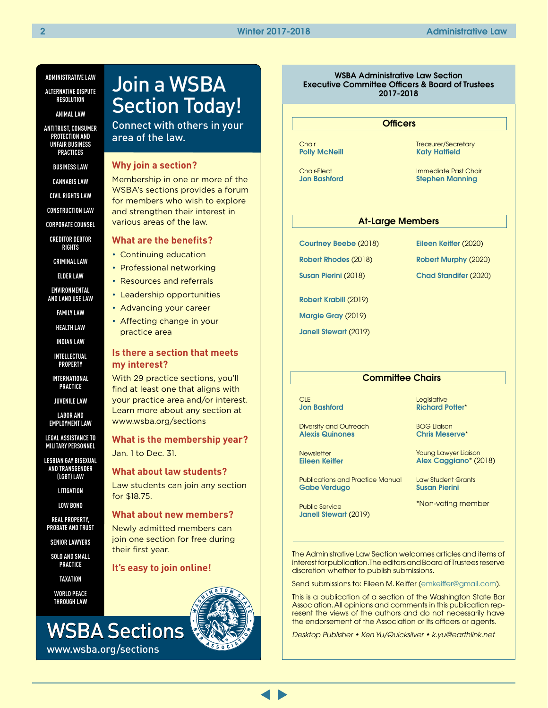#### **ADMINISTRATIVE LAW**

**ALTERNATIVE DISPUTE RESOLUTION**

**ANIMAL LAW**

**ANTITRUST, CONSUMER PROTECTION AND UNFAIR BUSINESS PRACTICES**

**BUSINESS LAW**

**CANNABIS LAW**

**CIVIL RIGHTS LAW**

**CONSTRUCTION LAW**

**CORPORATE COUNSEL**

**CREDITOR DEBTOR RIGHTS**

**CRIMINAL LAW**

**ELDER LAW**

**ENVIRONMENTAL AND LAND USE LAW**

**FAMILY LAW**

**HEALTH LAW**

**INDIAN LAW**

**INTELLECTUAL PROPERTY**

**INTERNATIONAL PRACTICE**

**JUVENILE LAW**

**LABOR AND EMPLOYMENT LAW**

**LEGAL ASSISTANCE TO MILITARY PERSONNEL**

**LESBIAN GAY BISEXUAL AND TRANSGENDER (LGBT) LAW**

**LITIGATION**

**LOW BONO**

**REAL PROPERTY, PROBATE AND TRUST**

**SENIOR LAWYERS**

**SOLO AND SMALL PRACTICE**

**TAXATION**

**WORLD PEACE THROUGH LAW** 

www.wsba.org/sections

## Join a WSBA Section Today!

Connect with others in your area of the law.

#### **Why join a section?**

Membership in one or more of the WSBA's sections provides a forum for members who wish to explore and strengthen their interest in various areas of the law.

#### **What are the benefits?**

- Continuing education
- Professional networking
- Resources and referrals
- Leadership opportunities
- Advancing your career
- Affecting change in your practice area

#### **Is there a section that meets my interest?**

With 29 practice sections, you'll find at least one that aligns with your practice area and/or interest. Learn more about any section at www.wsba.org/sections

**What is the membership year?** Jan. 1 to Dec. 31.

#### **What about law students?**

Law students can join any section for \$18.75.

#### **What about new members?**

Newly admitted members can join one section for free during their first year.

#### **It's easy to join online!**



#### WSBA Administrative Law Section Executive Committee Officers & Board of Trustees 2017-2018

#### **Officers**

Chair [Polly McNeill](https://www.mywsba.org/LawyerDirectory/LawyerProfile.aspx?Usr_ID=17437)

Chair-Elect [Jon Bashford](https://www.mywsba.org/LawyerDirectory/LawyerProfile.aspx?Usr_ID=39299) Treasurer/Secretary [Katy Hatfield](https://www.mywsba.org/LawyerDirectory/LawyerProfile.aspx?Usr_ID=39906)

Immediate Past Chair [Stephen Manning](https://www.mywsba.org/LawyerDirectory/LawyerProfile.aspx?Usr_ID=36965)

#### At-Large Members

[Courtney Beebe](mailto:courtney.beebe@oah.wa.gov) (2018)

[Robert Rhodes](https://www.mywsba.org/LawyerDirectory/LawyerProfile.aspx?Usr_ID=31089) (2018) [Susan Pierini](https://www.mywsba.org/LawyerDirectory/LawyerProfile.aspx?Usr_ID=17714) (2018)

[Eileen Keiffer](mailto:eileen@kenyondisend.com) (2020)

[Robert Murphy](mailto:judgermj@gmail.com) (2020)

[Chad Standifer](mailto:chads@atg.wa.gov) (2020)

[Robert Krabill](https://www.mywsba.org/LawyerDirectory/LawyerProfile.aspx?Usr_ID=31694) (2019)

[Margie Gray](https://www.mywsba.org/LawyerDirectory/LawyerProfile.aspx?Usr_ID=9607) (2019)

[Janell Stewart](https://www.mywsba.org/LawyerDirectory/LawyerProfile.aspx?Usr_ID=35211) (2019)

#### **Committee Chairs**

**CLE** [Jon Bashford](https://www.mywsba.org/LawyerDirectory/LawyerProfile.aspx?Usr_ID=39299)

Diversity and Outreach [Alexis Quinones](mailto:alexis@dynamiclawgroup.com)

**Newsletter** [Eileen Keiffer](https://www.mywsba.org/LawyerDirectory/LawyerProfile.aspx?Usr_ID=51598)

Publications and Practice Manual [Gabe Verdugo](https://www.mywsba.org/LawyerDirectory/LawyerProfile.aspx?Usr_ID=44154)

Public Service [Janell Stewart](https://www.mywsba.org/LawyerDirectory/LawyerProfile.aspx?Usr_ID=35211) (2019) **Legislative** [Richard Potter](https://www.mywsba.org/LawyerDirectory/LawyerProfile.aspx?Usr_ID=19196)\*

BOG Liaison [Chris Meserve](https://www.mywsba.org/LawyerDirectory/LawyerProfile.aspx?Usr_ID=8748)\*

Young Lawyer Liaison [Alex Caggiano](https://www.mywsba.org/LawyerDirectory/LawyerProfile.aspx?Usr_ID=47862)\* (2018)

Law Student Grants [Susan Pierini](https://www.mywsba.org/LawyerDirectory/LawyerProfile.aspx?Usr_ID=17714)

\*Non-voting member

The Administrative Law Section welcomes articles and items of interest for publication. The editors and Board of Trustees reserve discretion whether to publish submissions.

Send submissions to: Eileen M. Keiffer ([emkeiffer@gmail.com\)](mailto:emkeiffer@gmail.com).

This is a publication of a section of the Washington State Bar Association. All opinions and comments in this publication represent the views of the authors and do not necessarily have the endorsement of the Association or its officers or agents.

*Desktop Publisher • Ken Yu/Quicksilver • k.yu@earthlink.net*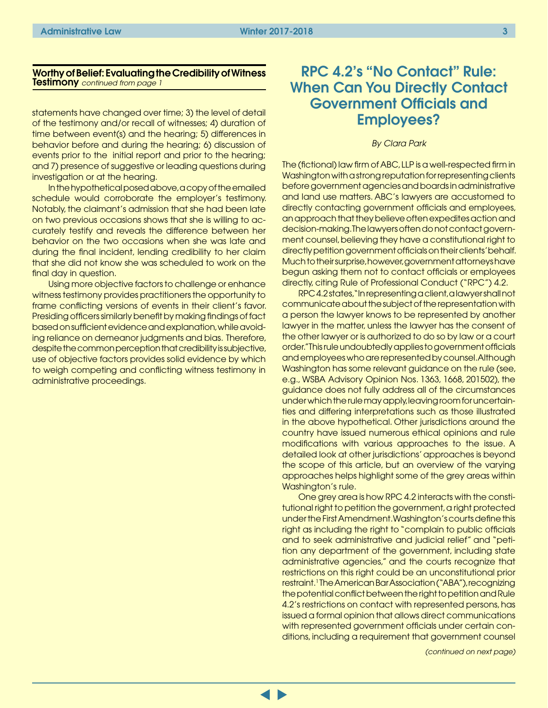#### <span id="page-2-0"></span>Worthy of Belief: Evaluating the Credibility of Witness Testimony *continued from page 1*

statements have changed over time; 3) the level of detail of the testimony and/or recall of witnesses; 4) duration of time between event(s) and the hearing; 5) differences in behavior before and during the hearing; 6) discussion of events prior to the initial report and prior to the hearing; and 7) presence of suggestive or leading questions during investigation or at the hearing.

In the hypothetical posed above, a copy of the emailed schedule would corroborate the employer's testimony. Notably, the claimant's admission that she had been late on two previous occasions shows that she is willing to accurately testify and reveals the difference between her behavior on the two occasions when she was late and during the final incident, lending credibility to her claim that she did not know she was scheduled to work on the final day in question.

Using more objective factors to challenge or enhance witness testimony provides practitioners the opportunity to frame conflicting versions of events in their client's favor. Presiding officers similarly benefit by making findings of fact based on sufficient evidence and explanation, while avoiding reliance on demeanor judgments and bias. Therefore, despite the common perception that credibility is subjective, use of objective factors provides solid evidence by which to weigh competing and conflicting witness testimony in administrative proceedings.

## RPC 4.2's "No Contact" Rule: When Can You Directly Contact Government Officials and Employees?

#### *By Clara Park*

The (fictional) law firm of ABC, LLP is a well-respected firm in Washington with a strong reputation for representing clients before government agencies and boards in administrative and land use matters. ABC's lawyers are accustomed to directly contacting government officials and employees, an approach that they believe often expedites action and decision-making. The lawyers often do not contact government counsel, believing they have a constitutional right to directly petition government officials on their clients' behalf. Much to their surprise, however, government attorneys have begun asking them not to contact officials or employees directly, citing Rule of Professional Conduct ("RPC") 4.2.

RPC 4.2 states, "In representing a client, a lawyer shall not communicate about the subject of the representation with a person the lawyer knows to be represented by another lawyer in the matter, unless the lawyer has the consent of the other lawyer or is authorized to do so by law or a court order." This rule undoubtedly applies to government officials and employees who are represented by counsel. Although Washington has some relevant guidance on the rule (see, e.g., WSBA Advisory Opinion Nos. 1363, 1668, 201502), the guidance does not fully address all of the circumstances under which the rule may apply, leaving room for uncertainties and differing interpretations such as those illustrated in the above hypothetical. Other jurisdictions around the country have issued numerous ethical opinions and rule modifications with various approaches to the issue. A detailed look at other jurisdictions' approaches is beyond the scope of this article, but an overview of the varying approaches helps highlight some of the grey areas within Washington's rule.

One grey area is how RPC 4.2 interacts with the constitutional right to petition the government, a right protected under the First Amendment. Washington's courts define this right as including the right to "complain to public officials and to seek administrative and judicial relief" and "petition any department of the government, including state administrative agencies," and the courts recognize that restrictions on this right could be an unconstitutional prior restraint.<sup>1</sup>The American Bar Association ("ABA"), recognizing the potential conflict between the right to petition and Rule 4.2's restrictions on contact with represented persons, has issued a formal opinion that allows direct communications with represented government officials under certain conditions, including a requirement that government counsel

*(continued on next page)*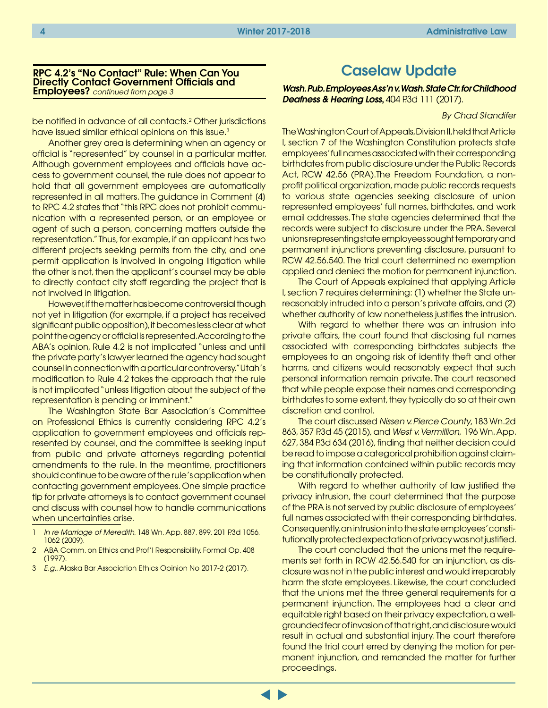#### <span id="page-3-0"></span>RPC 4.2's "No Contact" Rule: When Can You Directly Contact Government Officials and Employees? *continued from page 3*

be notified in advance of all contacts.<sup>2</sup> Other jurisdictions have issued similar ethical opinions on this issue.<sup>3</sup>

Another grey area is determining when an agency or official is "represented" by counsel in a particular matter. Although government employees and officials have access to government counsel, the rule does not appear to hold that all government employees are automatically represented in all matters. The guidance in Comment [4] to RPC 4.2 states that "this RPC does not prohibit communication with a represented person, or an employee or agent of such a person, concerning matters outside the representation." Thus, for example, if an applicant has two different projects seeking permits from the city, and one permit application is involved in ongoing litigation while the other is not, then the applicant's counsel may be able to directly contact city staff regarding the project that is not involved in litigation.

However, if the matter has become controversial though not yet in litigation (for example, if a project has received significant public opposition), it becomes less clear at what point the agency or official is represented. According to the ABA's opinion, Rule 4.2 is not implicated "unless and until the private party's lawyer learned the agency had sought counsel in connection with a particular controversy." Utah's modification to Rule 4.2 takes the approach that the rule is not implicated "unless litigation about the subject of the representation is pending or imminent."

The Washington State Bar Association's Committee on Professional Ethics is currently considering RPC 4.2's application to government employees and officials represented by counsel, and the committee is seeking input from public and private attorneys regarding potential amendments to the rule. In the meantime, practitioners should continue to be aware of the rule's application when contacting government employees. One simple practice tip for private attorneys is to contact government counsel and discuss with counsel how to handle communications when uncertainties arise.

- 1 *In re Marriage of Meredith*, 148 Wn. App. 887, 899, 201 P.3d 1056, 1062 (2009).
- 2 ABA Comm. on Ethics and Prof'l Responsibility, Formal Op. 408 (1997).
- 3 *E.g.*, Alaska Bar Association Ethics Opinion No 2017-2 (2017).

## Caselaw Update

*[Wash. Pub. Employees Ass'n v. Wash. State Ctr. for Childhood](http://www.courts.wa.gov/opinions/pdf/D2%2049224-5-II%20Published%20Opinion.pdf)*  **[Deafness & Hearing Loss](http://www.courts.wa.gov/opinions/pdf/D2%2049224-5-II%20Published%20Opinion.pdf), 404 P.3d 111 (2017).** 

*By Chad Standifer*

The Washington Court of Appeals, Division II, held that Article I, section 7 of the Washington Constitution protects state employees' full names associated with their corresponding birthdates from public disclosure under the Public Records Act, RCW 42.56 (PRA).The Freedom Foundation, a nonprofit political organization, made public records requests to various state agencies seeking disclosure of union represented employees' full names, birthdates, and work email addresses. The state agencies determined that the records were subject to disclosure under the PRA. Several unions representing state employees sought temporary and permanent injunctions preventing disclosure, pursuant to RCW 42.56.540. The trial court determined no exemption applied and denied the motion for permanent injunction.

The Court of Appeals explained that applying Article I, section 7 requires determining: (1) whether the State unreasonably intruded into a person's private affairs, and (2) whether authority of law nonetheless justifies the intrusion.

With regard to whether there was an intrusion into private affairs, the court found that disclosing full names associated with corresponding birthdates subjects the employees to an ongoing risk of identity theft and other harms, and citizens would reasonably expect that such personal information remain private. The court reasoned that while people expose their names and corresponding birthdates to some extent, they typically do so at their own discretion and control.

The court discussed *Nissen v. Pierce County*, 183 Wn.2d 863, 357 P.3d 45 (2015), and *West v. Vermillion*, 196 Wn. App. 627, 384 P.3d 634 (2016), finding that neither decision could be read to impose a categorical prohibition against claiming that information contained within public records may be constitutionally protected.

With regard to whether authority of law justified the privacy intrusion, the court determined that the purpose of the PRA is not served by public disclosure of employees' full names associated with their corresponding birthdates. Consequently, an intrusion into the state employees' constitutionally protected expectation of privacy was not justified.

The court concluded that the unions met the requirements set forth in RCW 42.56.540 for an injunction, as disclosure was not in the public interest and would irreparably harm the state employees. Likewise, the court concluded that the unions met the three general requirements for a permanent injunction. The employees had a clear and equitable right based on their privacy expectation, a wellgrounded fear of invasion of that right, and disclosure would result in actual and substantial injury. The court therefore found the trial court erred by denying the motion for permanent injunction, and remanded the matter for further proceedings.

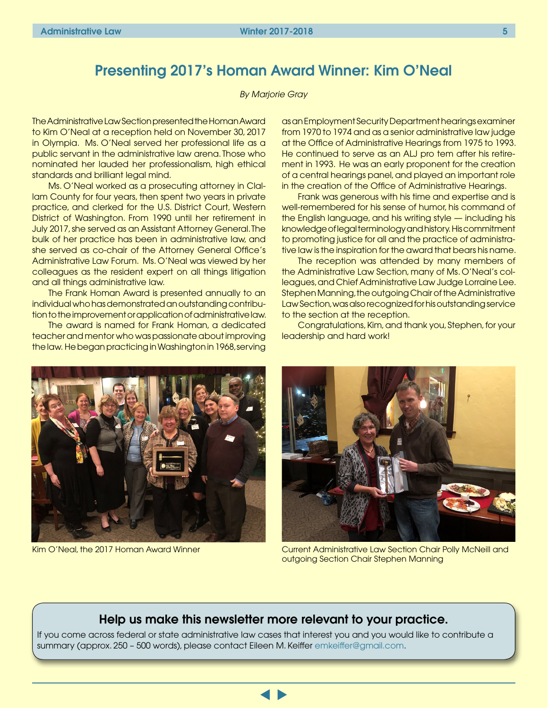## <span id="page-4-0"></span>Presenting 2017's Homan Award Winner: Kim O'Neal

#### *By Marjorie Gray*

The Administrative Law Section presented the Homan Award to Kim O'Neal at a reception held on November 30, 2017 in Olympia. Ms. O'Neal served her professional life as a public servant in the administrative law arena. Those who nominated her lauded her professionalism, high ethical standards and brilliant legal mind.

Ms. O'Neal worked as a prosecuting attorney in Clallam County for four years, then spent two years in private practice, and clerked for the U.S. District Court, Western District of Washington. From 1990 until her retirement in July 2017, she served as an Assistant Attorney General. The bulk of her practice has been in administrative law, and she served as co-chair of the Attorney General Office's Administrative Law Forum. Ms. O'Neal was viewed by her colleagues as the resident expert on all things litigation and all things administrative law.

The Frank Homan Award is presented annually to an individual who has demonstrated an outstanding contribution to the improvement or application of administrative law.

The award is named for Frank Homan, a dedicated teacher and mentor who was passionate about improving the law. He began practicing in Washington in 1968, serving

as an Employment Security Department hearings examiner from 1970 to 1974 and as a senior administrative law judge at the Office of Administrative Hearings from 1975 to 1993. He continued to serve as an ALJ pro tem after his retirement in 1993. He was an early proponent for the creation of a central hearings panel, and played an important role in the creation of the Office of Administrative Hearings.

Frank was generous with his time and expertise and is well-remembered for his sense of humor, his command of the English language, and his writing style — including his knowledge of legal terminology and history. His commitment to promoting justice for all and the practice of administrative law is the inspiration for the award that bears his name.

The reception was attended by many members of the Administrative Law Section, many of Ms. O'Neal's colleagues, and Chief Administrative Law Judge Lorraine Lee. Stephen Manning, the outgoing Chair of the Administrative Law Section, was also recognized for his outstanding service to the section at the reception.

Congratulations, Kim, and thank you, Stephen, for your leadership and hard work!





Kim O'Neal, the 2017 Homan Award Winner Current Administrative Law Section Chair Polly McNeill and outgoing Section Chair Stephen Manning

### Help us make this newsletter more relevant to your practice.

If you come across federal or state administrative law cases that interest you and you would like to contribute a summary (approx. 250 – 500 words), please contact Eileen M. Keiffer [emkeiffer@gmail.com](mailto:emkeiffer@gmail.com).